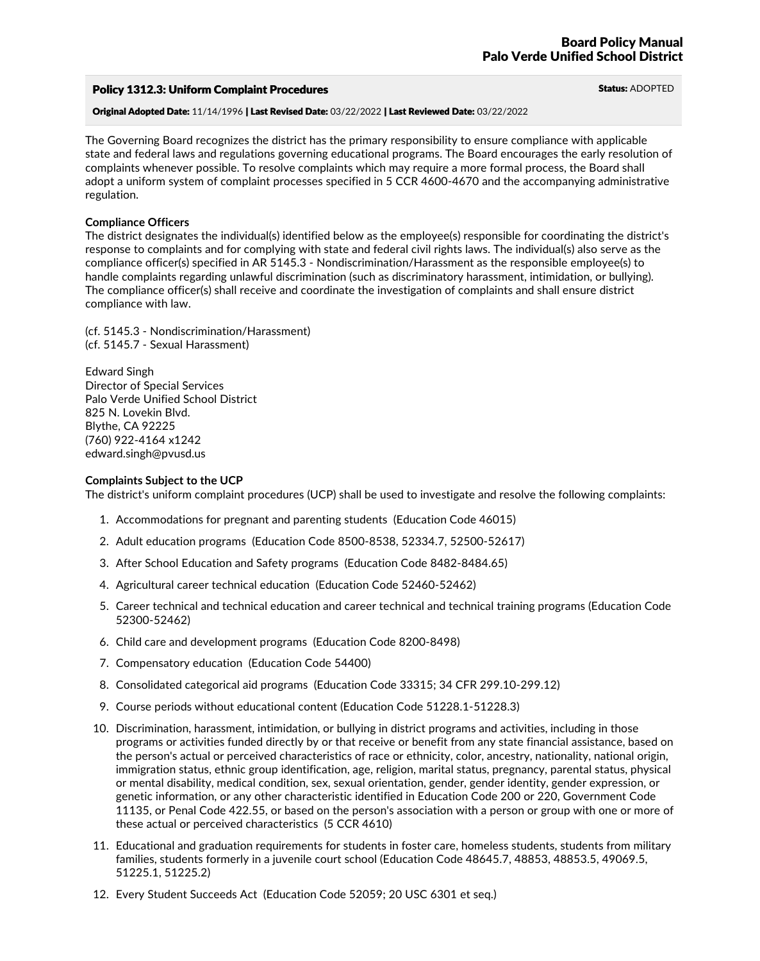## Policy 1312.3: Uniform Complaint Procedures Status: ADOPTED

Original Adopted Date: 11/14/1996 | Last Revised Date: 03/22/2022 | Last Reviewed Date: 03/22/2022

The Governing Board recognizes the district has the primary responsibility to ensure compliance with applicable state and federal laws and regulations governing educational programs. The Board encourages the early resolution of complaints whenever possible. To resolve complaints which may require a more formal process, the Board shall adopt a uniform system of complaint processes specified in 5 CCR 4600-4670 and the accompanying administrative regulation.

## **Compliance Officers**

The district designates the individual(s) identified below as the employee(s) responsible for coordinating the district's response to complaints and for complying with state and federal civil rights laws. The individual(s) also serve as the compliance officer(s) specified in AR 5145.3 - Nondiscrimination/Harassment as the responsible employee(s) to handle complaints regarding unlawful discrimination (such as discriminatory harassment, intimidation, or bullying).<br>The compliance officer(s) shall receive and coordinate the investigation of complaints and shall ensure di compliance with law.

(cf. 5145.3 - Nondiscrimination/Harassment) (cf. 5145.7 - Sexual Harassment)

Edward Singh Director of Special Services Palo Verde Unified School District 825 N. Lovekin Blvd.<br>Blythe, CA 92225 (760) 922-4164 x1242 edward.singh@pvusd.us

## **Complaints Subject to the UCP**

The district's uniform complaint procedures (UCP) shall be used to investigate and resolve the following complaints:

- 1. Accommodations for pregnant and parenting students (Education Code 46015)
- 2. Adult education programs (Education Code 8500-8538, 52334.7, 52500-52617)
- 3. After School Education and Safety programs (Education Code 8482-8484.65)
- 4. Agricultural career technical education (Education Code 52460-52462)
- 5. Career technical and technical education and career technical and technical training programs (Education Code 52300-52462)
- 6. Child care and development programs (Education Code 8200-8498)
- 7. Compensatory education (Education Code 54400)
- 8. Consolidated categorical aid programs (Education Code 33315; 34 CFR 299.10-299.12)
- 9. Course periods without educational content (Education Code 51228.1-51228.3)
- 10. Discrimination, harassment, intimidation, or bullying in district programs and activities, including in those programs or activities funded directly by or that receive or benefit from any state financial assistance, based on the person's actual or perceived characteristics of race or ethnicity, color, ancestry, nationality, national origin, immigration status, ethnic group identification, age, religion, marital status, pregnancy, parental status, physical or mental disability, medical condition, sex, sexual orientation, gender, gender identity, gender expression, or genetic information, or any other characteristic identified in Education Code 200 or 220, Government Code 11135, or Penal Code 422.55, or based on the person's association with a person or group with one or more of these actual or perceived characteristics (5 CCR 4610)
- 11. Educational and graduation requirements for students in foster care, homeless students, students from military families, students formerly in a juvenile court school (Education Code 48645.7, 48853, 48853.5, 49069.5, 51225.1, 51225.2)
- 12. Every Student Succeeds Act (Education Code 52059; 20 USC 6301 et seq.)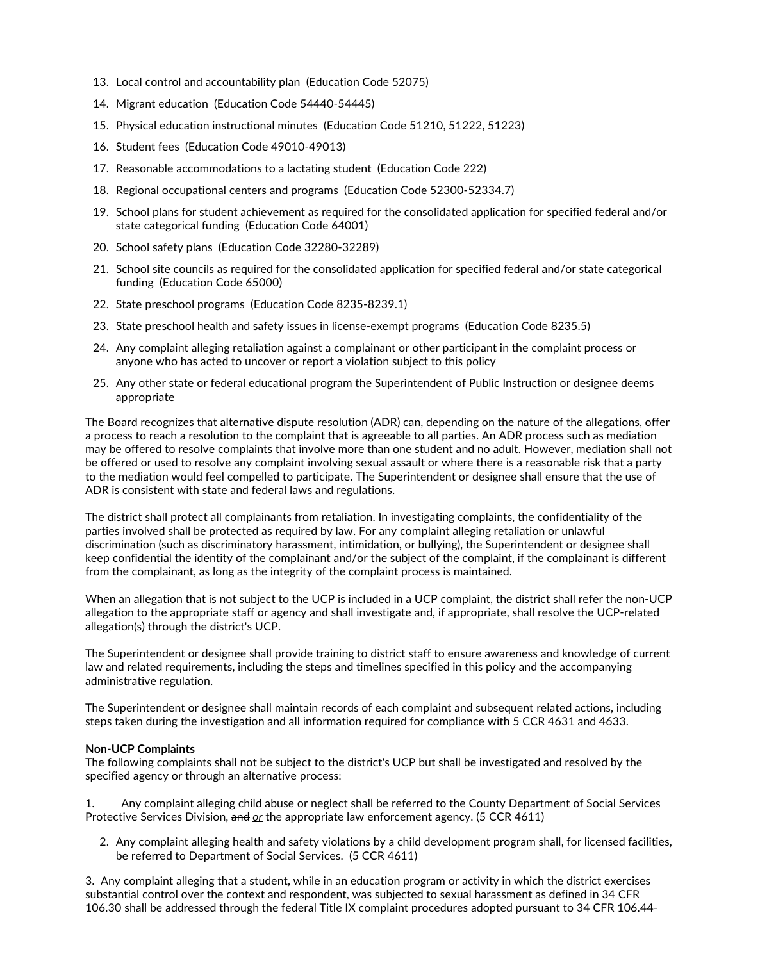- 13. Local control and accountability plan (Education Code 52075)
- 14. Migrant education (Education Code 54440-54445)
- 15. Physical education instructional minutes (Education Code 51210, 51222, 51223)
- 16. Student fees (Education Code 49010-49013)
- 17. Reasonable accommodations to a lactating student (Education Code 222)
- 18. Regional occupational centers and programs (Education Code 52300-52334.7)
- 19. School plans for student achievement as required for the consolidated application for specified federal and/or state categorical funding (Education Code 64001)
- 20. School safety plans (Education Code 32280-32289)
- 21. School site councils as required for the consolidated application for specified federal and/or state categorical funding (Education Code 65000)
- 22. State preschool programs (Education Code 8235-8239.1)
- 23. State preschool health and safety issues in license-exempt programs (Education Code 8235.5)
- 24. Any complaint alleging retaliation against a complainant or other participant in the complaint process or anyone who has acted to uncover or report a violation subject to this policy
- 25. Any other state or federal educational program the Superintendent of Public Instruction or designee deems appropriate

The Board recognizes that alternative dispute resolution (ADR) can, depending on the nature of the allegations, offer a process to reach a resolution to the complaint that is agreeable to all parties. An ADR process such as mediation may be offered to resolve complaints that involve more than one student and no adult. However, mediation shall not be offered or used to resolve any complaint involving sexual assault or where there is a reasonable risk that a party to the mediation would feel compelled to participate. The Superintendent or designee shall ensure that the use of ADR is consistent with state and federal laws and regulations.

The district shall protect all complainants from retaliation. In investigating complaints, the confidentiality of the parties involved shall be protected as required by law. For any complaint alleging retaliation or unlawful discrimination (such as discriminatory harassment, intimidation, or bullying), the Superintendent or designee shall keep confidential the identity of the complainant and/or the subject of the complaint, if the complainant is different from the complainant, as long as the integrity of the complaint process is maintained.

When an allegation that is not subject to the UCP is included in a UCP complaint, the district shall refer the non-UCP allegation to the appropriate staff or agency and shall investigate and, if appropriate, shall resolve the UCP-related allegation(s) through the district's UCP.

The Superintendent or designee shall provide training to district staff to ensure awareness and knowledge of current law and related requirements, including the steps and timelines specified in this policy and the accompanying administrative regulation.

The Superintendent or designee shall maintain records of each complaint and subsequent related actions, including steps taken during the investigation and all information required for compliance with 5 CCR 4631 and 4633.

## **Non-UCP Complaints**

The following complaints shall not be subject to the district's UCP but shall be investigated and resolved by the specified agency or through an alternative process:

1. Any complaint alleging child abuse or neglect shall be referred to the County Department of Social Services Protective Services Division, and *or*the appropriate law enforcement agency. (5 CCR 4611)

2. Any complaint alleging health and safety violations by a child development program shall, for licensed facilities, be referred to Department of Social Services. (5 CCR 4611)

3. Any complaint alleging that a student, while in an education program or activity in which the district exercises substantial control over the context and respondent, was subjected to sexual harassment as defined in 34 CFR 106.30 shall be addressed through the federal Title IX complaint procedures adopted pursuant to 34 CFR 106.44